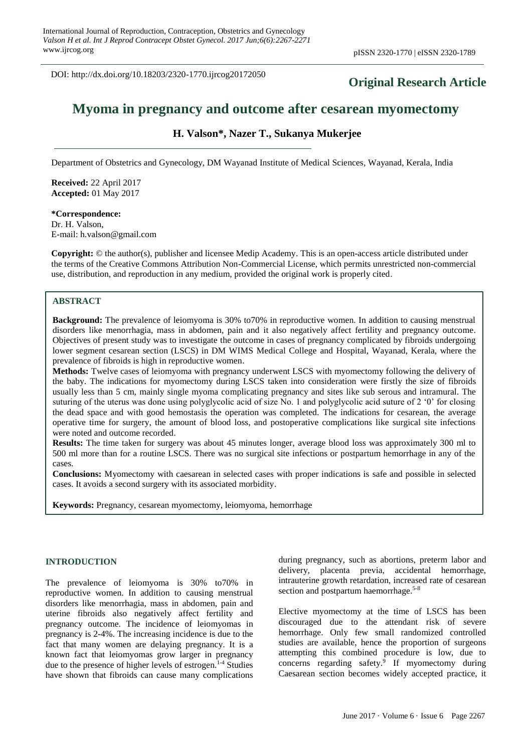DOI: http://dx.doi.org/10.18203/2320-1770.ijrcog20172050

# **Original Research Article**

# **Myoma in pregnancy and outcome after cesarean myomectomy**

# **H. Valson\*, Nazer T., Sukanya Mukerjee**

Department of Obstetrics and Gynecology, DM Wayanad Institute of Medical Sciences, Wayanad, Kerala, India

**Received:** 22 April 2017 **Accepted:** 01 May 2017

**\*Correspondence:** Dr. H. Valson, E-mail: h.valson@gmail.com

**Copyright:** © the author(s), publisher and licensee Medip Academy. This is an open-access article distributed under the terms of the Creative Commons Attribution Non-Commercial License, which permits unrestricted non-commercial use, distribution, and reproduction in any medium, provided the original work is properly cited.

# **ABSTRACT**

**Background:** The prevalence of leiomyoma is 30% to70% in reproductive women. In addition to causing menstrual disorders like menorrhagia, mass in abdomen, pain and it also negatively affect fertility and pregnancy outcome. Objectives of present study was to investigate the outcome in cases of pregnancy complicated by fibroids undergoing lower segment cesarean section (LSCS) in DM WIMS Medical College and Hospital, Wayanad, Kerala, where the prevalence of fibroids is high in reproductive women.

**Methods:** Twelve cases of leiomyoma with pregnancy underwent LSCS with myomectomy following the delivery of the baby. The indications for myomectomy during LSCS taken into consideration were firstly the size of fibroids usually less than 5 cm, mainly single myoma complicating pregnancy and sites like sub serous and intramural. The suturing of the uterus was done using polyglycolic acid of size No. 1 and polyglycolic acid suture of 2 '0' for closing the dead space and with good hemostasis the operation was completed. The indications for cesarean, the average operative time for surgery, the amount of blood loss, and postoperative complications like surgical site infections were noted and outcome recorded.

**Results:** The time taken for surgery was about 45 minutes longer, average blood loss was approximately 300 ml to 500 ml more than for a routine LSCS. There was no surgical site infections or postpartum hemorrhage in any of the cases.

**Conclusions:** Myomectomy with caesarean in selected cases with proper indications is safe and possible in selected cases. It avoids a second surgery with its associated morbidity.

**Keywords:** Pregnancy, cesarean myomectomy, leiomyoma, hemorrhage

# **INTRODUCTION**

The prevalence of leiomyoma is 30% to70% in reproductive women. In addition to causing menstrual disorders like menorrhagia, mass in abdomen, pain and uterine fibroids also negatively affect fertility and pregnancy outcome. The incidence of leiomyomas in pregnancy is 2-4%. The increasing incidence is due to the fact that many women are delaying pregnancy. It is a known fact that leiomyomas grow larger in pregnancy due to the presence of higher levels of estrogen. 1-4 Studies have shown that fibroids can cause many complications during pregnancy, such as abortions, preterm labor and delivery, placenta previa, accidental hemorrhage, intrauterine growth retardation, increased rate of cesarean section and postpartum haemorrhage.<sup>5-8</sup>

Elective myomectomy at the time of LSCS has been discouraged due to the attendant risk of severe hemorrhage. Only few small randomized controlled studies are available, hence the proportion of surgeons attempting this combined procedure is low, due to concerns regarding safety. 9 If myomectomy during Caesarean section becomes widely accepted practice, it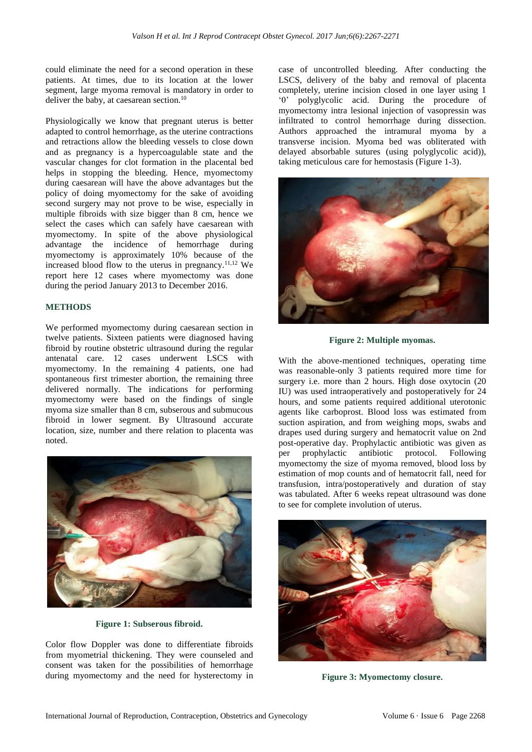could eliminate the need for a second operation in these patients. At times, due to its location at the lower segment, large myoma removal is mandatory in order to deliver the baby, at caesarean section.<sup>10</sup>

Physiologically we know that pregnant uterus is better adapted to control hemorrhage, as the uterine contractions and retractions allow the bleeding vessels to close down and as pregnancy is a hypercoagulable state and the vascular changes for clot formation in the placental bed helps in stopping the bleeding. Hence, myomectomy during caesarean will have the above advantages but the policy of doing myomectomy for the sake of avoiding second surgery may not prove to be wise, especially in multiple fibroids with size bigger than 8 cm, hence we select the cases which can safely have caesarean with myomectomy. In spite of the above physiological advantage the incidence of hemorrhage during myomectomy is approximately 10% because of the increased blood flow to the uterus in pregnancy.<sup>11,12</sup> We report here 12 cases where myomectomy was done during the period January 2013 to December 2016.

# **METHODS**

We performed myomectomy during caesarean section in twelve patients. Sixteen patients were diagnosed having fibroid by routine obstetric ultrasound during the regular antenatal care. 12 cases underwent LSCS with myomectomy. In the remaining 4 patients, one had spontaneous first trimester abortion, the remaining three delivered normally. The indications for performing myomectomy were based on the findings of single myoma size smaller than 8 cm, subserous and submucous fibroid in lower segment. By Ultrasound accurate location, size, number and there relation to placenta was noted.



**Figure 1: Subserous fibroid.**

Color flow Doppler was done to differentiate fibroids from myometrial thickening. They were counseled and consent was taken for the possibilities of hemorrhage during myomectomy and the need for hysterectomy in case of uncontrolled bleeding. After conducting the LSCS, delivery of the baby and removal of placenta completely, uterine incision closed in one layer using 1 '0' polyglycolic acid. During the procedure of myomectomy intra lesional injection of vasopressin was infiltrated to control hemorrhage during dissection. Authors approached the intramural myoma by a transverse incision. Myoma bed was obliterated with delayed absorbable sutures (using polyglycolic acid)), taking meticulous care for hemostasis (Figure 1-3).



**Figure 2: Multiple myomas.**

With the above-mentioned techniques, operating time was reasonable-only 3 patients required more time for surgery i.e. more than 2 hours. High dose oxytocin  $(20)$ IU) was used intraoperatively and postoperatively for 24 hours, and some patients required additional uterotonic agents like carboprost. Blood loss was estimated from suction aspiration, and from weighing mops, swabs and drapes used during surgery and hematocrit value on 2nd post-operative day. Prophylactic antibiotic was given as per prophylactic antibiotic protocol. Following myomectomy the size of myoma removed, blood loss by estimation of mop counts and of hematocrit fall, need for transfusion, intra/postoperatively and duration of stay was tabulated. After 6 weeks repeat ultrasound was done to see for complete involution of uterus.



**Figure 3: Myomectomy closure.**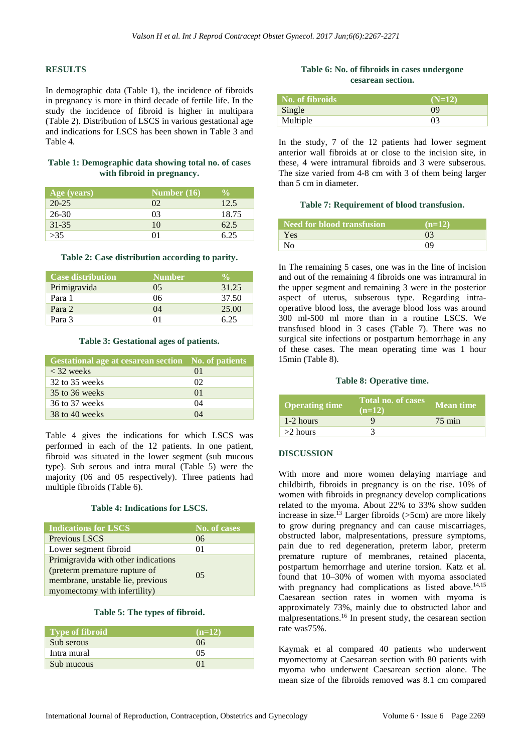## **RESULTS**

In demographic data (Table 1), the incidence of fibroids in pregnancy is more in third decade of fertile life. In the study the incidence of fibroid is higher in multipara (Table 2). Distribution of LSCS in various gestational age and indications for LSCS has been shown in Table 3 and Table 4.

## **Table 1: Demographic data showing total no. of cases with fibroid in pregnancy.**

| Age (years)        | Number $(16)$  | $\frac{0}{0}$ |
|--------------------|----------------|---------------|
| $\overline{20-25}$ | 02             | 12.5          |
| $26 - 30$          | 0 <sup>3</sup> | 18.75         |
| $31 - 35$          | 10             | 62.5          |
| >35                |                | 625           |

#### **Table 2: Case distribution according to parity.**

| <b>Case distribution</b> | <b>Number</b> | <b>V<sub>O</sub></b> |
|--------------------------|---------------|----------------------|
| Primigravida             | 05            | 31.25                |
| Para 1                   | 06            | 37.50                |
| Para 2                   | 04            | 25.00                |
| Para 3                   |               | 6.25                 |

## **Table 3: Gestational ages of patients.**

| <b>Gestational age at cesarean section</b> No. of patients |            |
|------------------------------------------------------------|------------|
| $<$ 32 weeks                                               | $\Omega$   |
| 32 to 35 weeks                                             | $^{12}$    |
| 35 to 36 weeks                                             | $\Omega$ 1 |
| 36 to 37 weeks                                             | 04         |
| 38 to 40 weeks                                             | $\Omega$   |

Table 4 gives the indications for which LSCS was performed in each of the 12 patients. In one patient, fibroid was situated in the lower segment (sub mucous type). Sub serous and intra mural (Table 5) were the majority (06 and 05 respectively). Three patients had multiple fibroids (Table 6).

### **Table 4: Indications for LSCS.**

| <b>Indications for LSCS</b>         | No. of cases |
|-------------------------------------|--------------|
| Previous LSCS                       | 06           |
| Lower segment fibroid               | 01           |
| Primigravida with other indications |              |
| (preterm premature rupture of       | 05           |
| membrane, unstable lie, previous    |              |
| myomectomy with infertility)        |              |

## **Table 5: The types of fibroid.**

| <b>Type of fibroid</b> | $(n=12)$ |
|------------------------|----------|
| Sub serous             | 06       |
| Intra mural            | 05       |
| Sub mucous             |          |

## **Table 6: No. of fibroids in cases undergone cesarean section.**

| No. of fibroids | $(N=12)$ |
|-----------------|----------|
| Single          | 09       |
| Multiple        | 03       |

In the study, 7 of the 12 patients had lower segment anterior wall fibroids at or close to the incision site, in these, 4 were intramural fibroids and 3 were subserous. The size varied from 4-8 cm with 3 of them being larger than 5 cm in diameter.

#### **Table 7: Requirement of blood transfusion.**

| Need for blood transfusion | $(n=12)$       |
|----------------------------|----------------|
| <b>Yes</b>                 | 0 <sup>3</sup> |
| N <sub>0</sub>             | 09             |

In The remaining 5 cases, one was in the line of incision and out of the remaining 4 fibroids one was intramural in the upper segment and remaining 3 were in the posterior aspect of uterus, subserous type. Regarding intraoperative blood loss, the average blood loss was around 300 ml-500 ml more than in a routine LSCS. We transfused blood in 3 cases (Table 7). There was no surgical site infections or postpartum hemorrhage in any of these cases. The mean operating time was 1 hour 15min (Table 8).

### **Table 8: Operative time.**

| <b>Operating time</b> | <b>Total no. of cases</b><br>$(n=12)$ | Mean time        |
|-----------------------|---------------------------------------|------------------|
| 1-2 hours             |                                       | $75 \text{ min}$ |
| $>2$ hours            |                                       |                  |

### **DISCUSSION**

With more and more women delaying marriage and childbirth, fibroids in pregnancy is on the rise. 10% of women with fibroids in pregnancy develop complications related to the myoma. About 22% to 33% show sudden increase in size.<sup>13</sup> Larger fibroids ( $>5$ cm) are more likely to grow during pregnancy and can cause miscarriages, obstructed labor, malpresentations, pressure symptoms, pain due to red degeneration, preterm labor, preterm premature rupture of membranes, retained placenta, postpartum hemorrhage and uterine torsion. Katz et al. found that 10–30% of women with myoma associated with pregnancy had complications as listed above.<sup>14,15</sup> Caesarean section rates in women with myoma is approximately 73%, mainly due to obstructed labor and malpresentations.<sup>16</sup> In present study, the cesarean section rate was75%.

Kaymak et al compared 40 patients who underwent myomectomy at Caesarean section with 80 patients with myoma who underwent Caesarean section alone. The mean size of the fibroids removed was 8.1 cm compared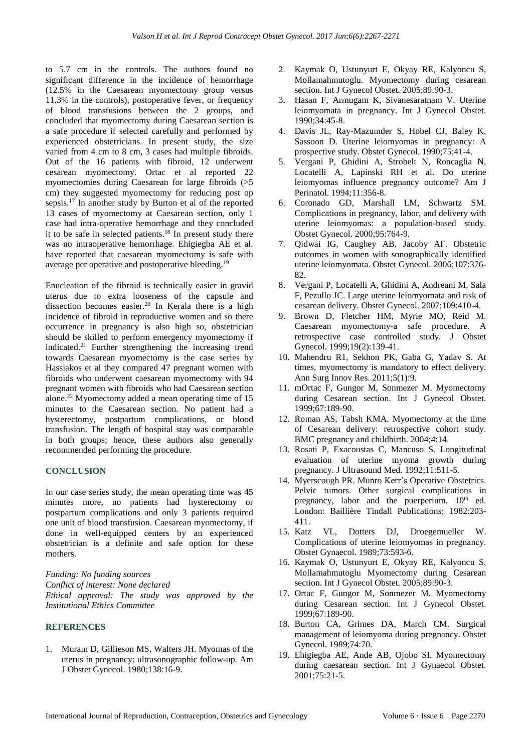to 5.7 cm in the controls. The authors found no significant difference in the incidence of hemorrhage (12.5% in the Caesarean myomectomy group versus 11.3% in the controls), postoperative fever, or frequency of blood transfusions between the 2 groups, and concluded that myomectomy during Caesarean section is a safe procedure if selected carefully and performed by experienced obstetricians. In present study, the size varied from 4 cm to 8 cm, 3 cases had multiple fibroids. Out of the 16 patients with fibroid, 12 underwent cesarean myomectomy. Ortac et al reported 22 myomectomies during Caesarean for large fibroids (>5 cm) they suggested myomectomy for reducing post op sepsis.<sup>17</sup> In another study by Burton et al of the reported 13 cases of myomectomy at Caesarean section, only 1 case had intra-operative hemorrhage and they concluded it to be safe in selected patients.<sup>18</sup> In present study there was no intraoperative hemorrhage. Ehigiegba AE et al. have reported that caesarean myomectomy is safe with average per operative and postoperative bleeding.<sup>19</sup>

Enucleation of the fibroid is technically easier in gravid uterus due to extra looseness of the capsule and dissection becomes easier.<sup>20</sup> In Kerala there is a high incidence of fibroid in reproductive women and so there occurrence in pregnancy is also high so, obstetrician should be skilled to perform emergency myomectomy if indicated.<sup>21</sup> Further strengthening the increasing trend towards Caesarean myomectomy is the case series by Hassiakos et al they compared 47 pregnant women with fibroids who underwent caesarean myomectomy with 94 pregnant women with fibroids who had Caesarean section alone.<sup>22</sup> Myomectomy added a mean operating time of 15 minutes to the Caesarean section. No patient had a hysterectomy, postpartum complications, or blood transfusion. The length of hospital stay was comparable in both groups; hence, these authors also generally recommended performing the procedure.

# **CONCLUSION**

In our case series study, the mean operating time was 45 minutes more, no patients had hysterectomy or postpartum complications and only 3 patients required one unit of blood transfusion. Caesarean myomectomy, if done in well-equipped centers by an experienced obstetrician is a definite and safe option for these mothers.

*Funding: No funding sources Conflict of interest: None declared Ethical approval: The study was approved by the Institutional Ethics Committee*

### **REFERENCES**

1. Muram D, Gillieson MS, Walters JH. Myomas of the uterus in pregnancy: ultrasonographic follow-up. Am J Obstet Gynecol. 1980;138:16-9.

- 2. Kaymak O, Ustunyurt E, Okyay RE, Kalyoncu S, Mollamahmutoglu. Myomectomy during cesarean section. Int J Gynecol Obstet. 2005;89:90-3.
- 3. Hasan F, Armugam K, Sivanesaratnam V. Uterine leiomyomata in pregnancy. Int J Gynecol Obstet. 1990;34:45-8.
- 4. Davis JL, Ray-Mazumder S, Hobel CJ, Baley K, Sassoon D. Uterine leiomyomas in pregnancy: A prospective study. Obstet Gynecol. 1990;75:41-4.
- 5. Vergani P, Ghidini A, Strobelt N, Roncaglia N, Locatelli A, Lapinski RH et al. Do uterine leiomyomas influence pregnancy outcome? Am J Perinatol. 1994;11:356-8.
- 6. Coronado GD, Marshall LM, Schwartz SM. Complications in pregnancy, labor, and delivery with uterine leiomyomas: a population-based study. Obstet Gynecol. 2000;95:764-9.
- 7. Qidwai IG, Caughey AB, Jacoby AF. Obstetric outcomes in women with sonographically identified uterine leiomyomata. Obstet Gynecol. 2006;107:376- 82.
- 8. Vergani P, Locatelli A, Ghidini A, Andreani M, Sala F, Pezullo JC. Large uterine leiomyomata and risk of cesarean delivery. Obstet Gynecol. 2007;109:410-4.
- 9. Brown D, Fletcher HM, Myrie MO, Reid M. Caesarean myomectomy-a safe procedure. A retrospective case controlled study. J Obstet Gynecol. 1999;19(2):139-41.
- 10. Mahendru R1, Sekhon PK, Gaba G, Yadav S. At times, myomectomy is mandatory to effect delivery. Ann Surg Innov Res. 2011;5(1):9.
- 11. mOrtac F, Gungor M, Sonmezer M. Myomectomy during Cesarean section. Int J Gynecol Obstet. 1999;67:189-90.
- 12. Roman AS, Tabsh KMA. Myomectomy at the time of Cesarean delivery: retrospective cohort study. BMC pregnancy and childbirth. 2004;4:14.
- 13. Rosati P, Exacoustas C, Mancuso S. Longitudinal evaluation of uterine myoma growth during pregnancy. J Ultrasound Med. 1992;11:511-5.
- 14. Myerscough PR. Munro Kerr's Operative Obstetrics. Pelvic tumors. Other surgical complications in pregnancy, labor and the puerperium.  $10<sup>th</sup>$  ed. London: Baillière Tindall Publications; 1982:203- 411.
- 15. Katz VL, Dotters DJ, Droegemueller W. Complications of uterine leiomyomas in pregnancy. Obstet Gynaecol. 1989;73:593-6.
- 16. Kaymak O, Ustunyurt E, Okyay RE, Kalyoncu S, Mollamahmutoglu Myomectomy during Cesarean section. Int J Gynecol Obstet. 2005;89:90-3.
- 17. Ortac F, Gungor M, Sonmezer M. Myomectomy during Cesarean section. Int J Gynecol Obstet. 1999;67:189-90.
- 18. Burton CA, Grimes DA, March CM. Surgical management of leiomyoma during pregnancy. Obstet Gynecol. 1989;74:70.
- 19. Ehigiegba AE, Ande AB, Ojobo SI. Myomectomy during caesarean section. Int J Gynaecol Obstet. 2001;75:21-5.